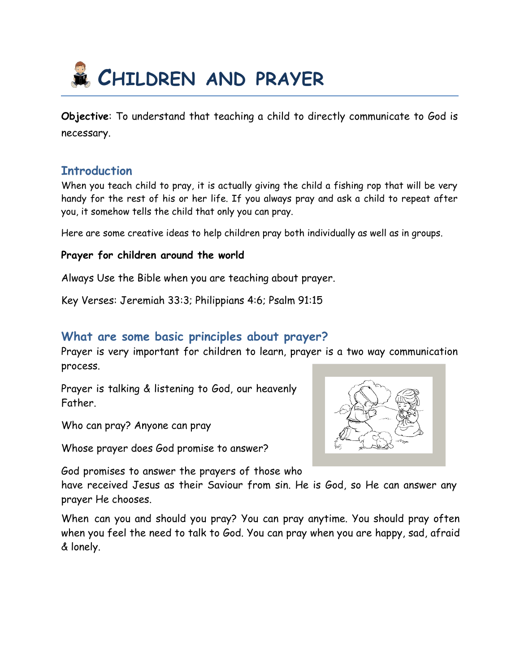

**Objective**: To understand that teaching a child to directly communicate to God is necessary.

### **Introduction**

When you teach child to pray, it is actually giving the child a fishing rop that will be very handy for the rest of his or her life. If you always pray and ask a child to repeat after you, it somehow tells the child that only you can pray.

Here are some creative ideas to help children pray both individually as well as in groups.

#### **Prayer for children around the world**

Always Use the Bible when you are teaching about prayer.

Key Verses: Jeremiah 33:3; Philippians 4:6; Psalm 91:15

### **What are some basic principles about prayer?**

Prayer is very important for children to learn, prayer is a two way communication process.

Prayer is talking & listening to God, our heavenly Father.

Who can pray? Anyone can pray

Whose prayer does God promise to answer?

God promises to answer the prayers of those who

have received Jesus as their Saviour from sin. He is God, so He can answer any prayer He chooses.

When can you and should you pray? You can pray anytime. You should pray often when you feel the need to talk to God. You can pray when you are happy, sad, afraid & lonely.

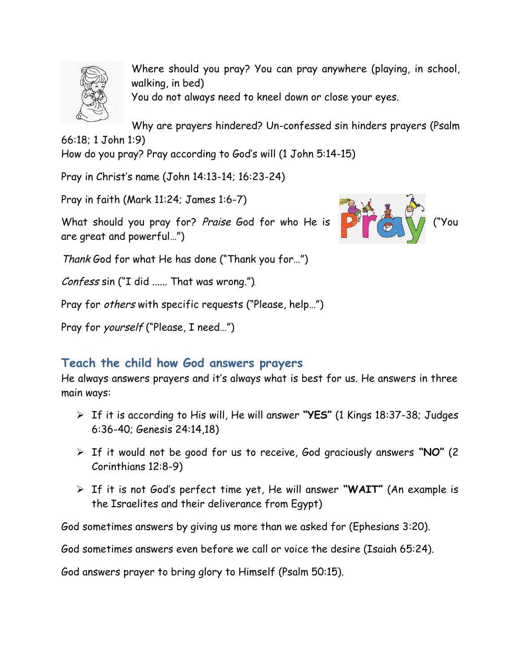

Where should you pray? You can pray anywhere (playing, in school, walking, in bed) You do not always need to kneel down or close your eyes.

Why are prayers hindered? Un-confessed sin hinders prayers (Psalm

66:18; 1 John 1:9)

How do you pray? Pray according to God's will (1 John 5:14-15)

Pray in Christ's name (John 14:13-14; 16:23-24)

Pray in faith (Mark 11:24; James 1:6-7)

What should you pray for? Praise God for who He is ( Young The State of V) are great and powerful…")



Thank God for what He has done ("Thank you for…")

Confess sin ("I did ...... That was wrong.")

Pray for others with specific requests ("Please, help…")

Pray for *yourself* ("Please, I need...")

# **Teach the child how God answers prayers**

He always answers prayers and it's always what is best for us. He answers in three main ways:

- If it is according to His will, He will answer **"YES"** (1 Kings 18:37-38; Judges 6:36-40; Genesis 24:14,18)
- If it would not be good for us to receive, God graciously answers **"NO"** (2 Corinthians 12:8-9)
- If it is not God's perfect time yet, He will answer **"WAIT"** (An example is the Israelites and their deliverance from Egypt)

God sometimes answers by giving us more than we asked for (Ephesians 3:20).

God sometimes answers even before we call or voice the desire (Isaiah 65:24).

God answers prayer to bring glory to Himself (Psalm 50:15).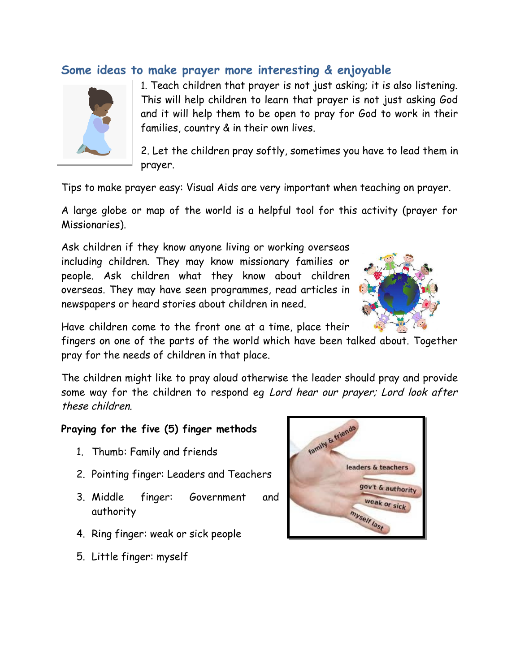## **Some ideas to make prayer more interesting & enjoyable**



1. Teach children that prayer is not just asking; it is also listening. This will help children to learn that prayer is not just asking God and it will help them to be open to pray for God to work in their families, country & in their own lives.

2. Let the children pray softly, sometimes you have to lead them in prayer.

Tips to make prayer easy: Visual Aids are very important when teaching on prayer.

A large globe or map of the world is a helpful tool for this activity (prayer for Missionaries).

Ask children if they know anyone living or working overseas including children. They may know missionary families or people. Ask children what they know about children overseas. They may have seen programmes, read articles in newspapers or heard stories about children in need.



Have children come to the front one at a time, place their

fingers on one of the parts of the world which have been talked about. Together pray for the needs of children in that place.

The children might like to pray aloud otherwise the leader should pray and provide some way for the children to respond eg Lord hear our prayer; Lord look after these children.

#### **Praying for the five (5) finger methods**

- 1. Thumb: Family and friends
- 2. Pointing finger: Leaders and Teachers
- 3. Middle finger: Government and authority
- 4. Ring finger: weak or sick people
- 5. Little finger: myself

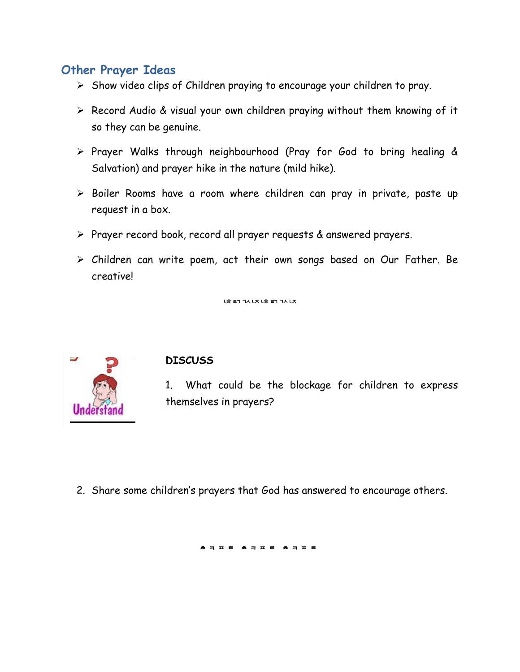## **Other Prayer Ideas**

- $\triangleright$  Show video clips of Children praying to encourage your children to pray.
- Record Audio & visual your own children praying without them knowing of it so they can be genuine.
- Prayer Walks through neighbourhood (Pray for God to bring healing & Salvation) and prayer hike in the nature (mild hike).
- > Boiler Rooms have a room where children can pray in private, paste up request in a box.
- Prayer record book, record all prayer requests & answered prayers.
- Children can write poem, act their own songs based on Our Father. Be creative!

ᅝᇐᄁᆪᅜᅝᇐᆩᆪᆬ



#### **DISCUSS**

1. What could be the blockage for children to express themselves in prayers?

2. Share some children's prayers that God has answered to encourage others.

\* ㅋ ㅍ ㅌ \* ㅋ ㅍ ㅌ \* ㅋ ㅍ ㅌ